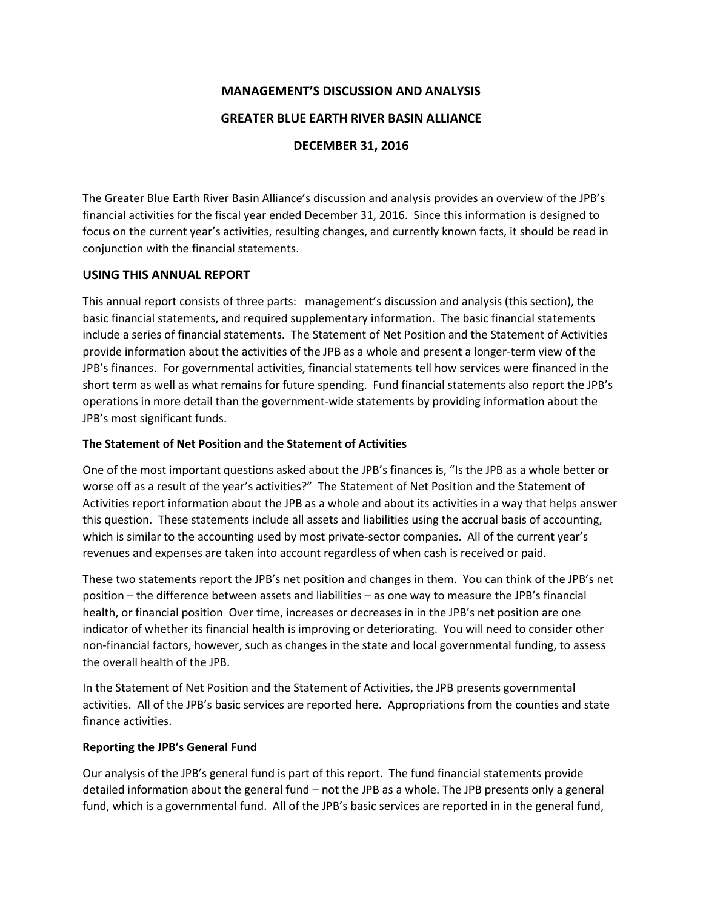## **MANAGEMENT'S DISCUSSION AND ANALYSIS**

#### **GREATER BLUE EARTH RIVER BASIN ALLIANCE**

### **DECEMBER 31, 2016**

The Greater Blue Earth River Basin Alliance's discussion and analysis provides an overview of the JPB's financial activities for the fiscal year ended December 31, 2016. Since this information is designed to focus on the current year's activities, resulting changes, and currently known facts, it should be read in conjunction with the financial statements.

## **USING THIS ANNUAL REPORT**

This annual report consists of three parts: management's discussion and analysis (this section), the basic financial statements, and required supplementary information. The basic financial statements include a series of financial statements. The Statement of Net Position and the Statement of Activities provide information about the activities of the JPB as a whole and present a longer-term view of the JPB's finances. For governmental activities, financial statements tell how services were financed in the short term as well as what remains for future spending. Fund financial statements also report the JPB's operations in more detail than the government-wide statements by providing information about the JPB's most significant funds.

#### **The Statement of Net Position and the Statement of Activities**

One of the most important questions asked about the JPB's finances is, "Is the JPB as a whole better or worse off as a result of the year's activities?" The Statement of Net Position and the Statement of Activities report information about the JPB as a whole and about its activities in a way that helps answer this question. These statements include all assets and liabilities using the accrual basis of accounting, which is similar to the accounting used by most private-sector companies. All of the current year's revenues and expenses are taken into account regardless of when cash is received or paid.

These two statements report the JPB's net position and changes in them. You can think of the JPB's net position – the difference between assets and liabilities – as one way to measure the JPB's financial health, or financial position Over time, increases or decreases in in the JPB's net position are one indicator of whether its financial health is improving or deteriorating. You will need to consider other non-financial factors, however, such as changes in the state and local governmental funding, to assess the overall health of the JPB.

In the Statement of Net Position and the Statement of Activities, the JPB presents governmental activities. All of the JPB's basic services are reported here. Appropriations from the counties and state finance activities.

#### **Reporting the JPB's General Fund**

Our analysis of the JPB's general fund is part of this report. The fund financial statements provide detailed information about the general fund – not the JPB as a whole. The JPB presents only a general fund, which is a governmental fund. All of the JPB's basic services are reported in in the general fund,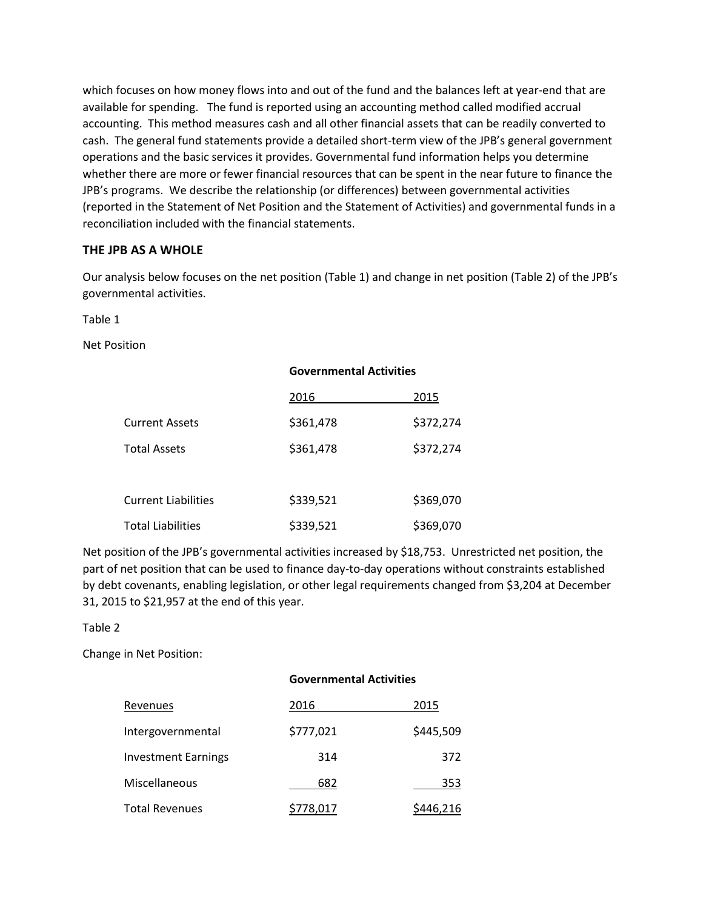which focuses on how money flows into and out of the fund and the balances left at year-end that are available for spending. The fund is reported using an accounting method called modified accrual accounting. This method measures cash and all other financial assets that can be readily converted to cash. The general fund statements provide a detailed short-term view of the JPB's general government operations and the basic services it provides. Governmental fund information helps you determine whether there are more or fewer financial resources that can be spent in the near future to finance the JPB's programs. We describe the relationship (or differences) between governmental activities (reported in the Statement of Net Position and the Statement of Activities) and governmental funds in a reconciliation included with the financial statements.

#### **THE JPB AS A WHOLE**

Our analysis below focuses on the net position (Table 1) and change in net position (Table 2) of the JPB's governmental activities.

Table 1

Net Position

|                            | <b>Governmental Activities</b> |           |
|----------------------------|--------------------------------|-----------|
|                            | 2016                           | 2015      |
| Current Assets             | \$361,478                      | \$372,274 |
| Total Assets               | \$361,478                      | \$372,274 |
|                            |                                |           |
| <b>Current Liabilities</b> | \$339,521                      | \$369,070 |
| <b>Total Liabilities</b>   | \$339,521                      | \$369,070 |

Net position of the JPB's governmental activities increased by \$18,753. Unrestricted net position, the part of net position that can be used to finance day-to-day operations without constraints established by debt covenants, enabling legislation, or other legal requirements changed from \$3,204 at December 31, 2015 to \$21,957 at the end of this year.

Table 2

Change in Net Position:

|                            | <b>Governmental Activities</b> |           |
|----------------------------|--------------------------------|-----------|
| Revenues                   | 2016                           | 2015      |
| Intergovernmental          | \$777,021                      | \$445,509 |
| <b>Investment Earnings</b> | 314                            | 372       |
| Miscellaneous              | 682                            | 353       |
| Total Revenues             | \$778,017                      | \$446,216 |